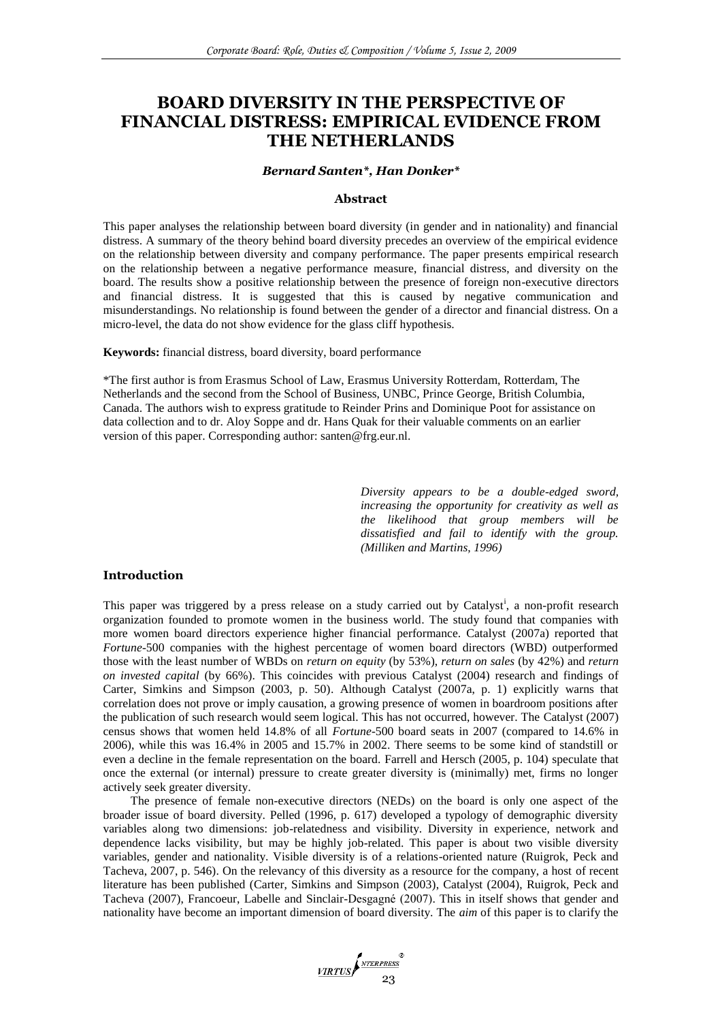# **BOARD DIVERSITY IN THE PERSPECTIVE OF FINANCIAL DISTRESS: EMPIRICAL EVIDENCE FROM THE NETHERLANDS**

## *Bernard Santen\*, Han Donker\**

## **Abstract**

This paper analyses the relationship between board diversity (in gender and in nationality) and financial distress. A summary of the theory behind board diversity precedes an overview of the empirical evidence on the relationship between diversity and company performance. The paper presents empirical research on the relationship between a negative performance measure, financial distress, and diversity on the board. The results show a positive relationship between the presence of foreign non-executive directors and financial distress. It is suggested that this is caused by negative communication and misunderstandings. No relationship is found between the gender of a director and financial distress. On a micro-level, the data do not show evidence for the glass cliff hypothesis.

## **Keywords:** financial distress, board diversity, board performance

\*The first author is from Erasmus School of Law, Erasmus University Rotterdam, Rotterdam, The Netherlands and the second from the School of Business, UNBC, Prince George, British Columbia, Canada. The authors wish to express gratitude to Reinder Prins and Dominique Poot for assistance on data collection and to dr. Aloy Soppe and dr. Hans Quak for their valuable comments on an earlier version of this paper. Corresponding author: santen@frg.eur.nl.

> *Diversity appears to be a double-edged sword, increasing the opportunity for creativity as well as the likelihood that group members will be dissatisfied and fail to identify with the group. (Milliken and Martins, 1996)*

## **Introduction**

This paper was triggered by a press release on a study carried out by Catalyst<sup>i</sup>, a non-profit research organization founded to promote women in the business world. The study found that companies with more women board directors experience higher financial performance. Catalyst (2007a) reported that *Fortune*-500 companies with the highest percentage of women board directors (WBD) outperformed those with the least number of WBDs on *return on equity* (by 53%), *return on sales* (by 42%) and *return on invested capital* (by 66%). This coincides with previous Catalyst (2004) research and findings of Carter, Simkins and Simpson (2003, p. 50). Although Catalyst (2007a, p. 1) explicitly warns that correlation does not prove or imply causation, a growing presence of women in boardroom positions after the publication of such research would seem logical. This has not occurred, however. The Catalyst (2007) census shows that women held 14.8% of all *Fortune*-500 board seats in 2007 (compared to 14.6% in 2006), while this was 16.4% in 2005 and 15.7% in 2002. There seems to be some kind of standstill or even a decline in the female representation on the board. Farrell and Hersch (2005, p. 104) speculate that once the external (or internal) pressure to create greater diversity is (minimally) met, firms no longer actively seek greater diversity.

The presence of female non-executive directors (NEDs) on the board is only one aspect of the broader issue of board diversity. Pelled (1996, p. 617) developed a typology of demographic diversity variables along two dimensions: job-relatedness and visibility. Diversity in experience, network and dependence lacks visibility, but may be highly job-related. This paper is about two visible diversity variables, gender and nationality. Visible diversity is of a relations-oriented nature (Ruigrok, Peck and Tacheva, 2007, p. 546). On the relevancy of this diversity as a resource for the company, a host of recent literature has been published (Carter, Simkins and Simpson (2003), Catalyst (2004), Ruigrok, Peck and Tacheva (2007), Francoeur, Labelle and Sinclair-Desgagné (2007). This in itself shows that gender and nationality have become an important dimension of board diversity. The *aim* of this paper is to clarify the

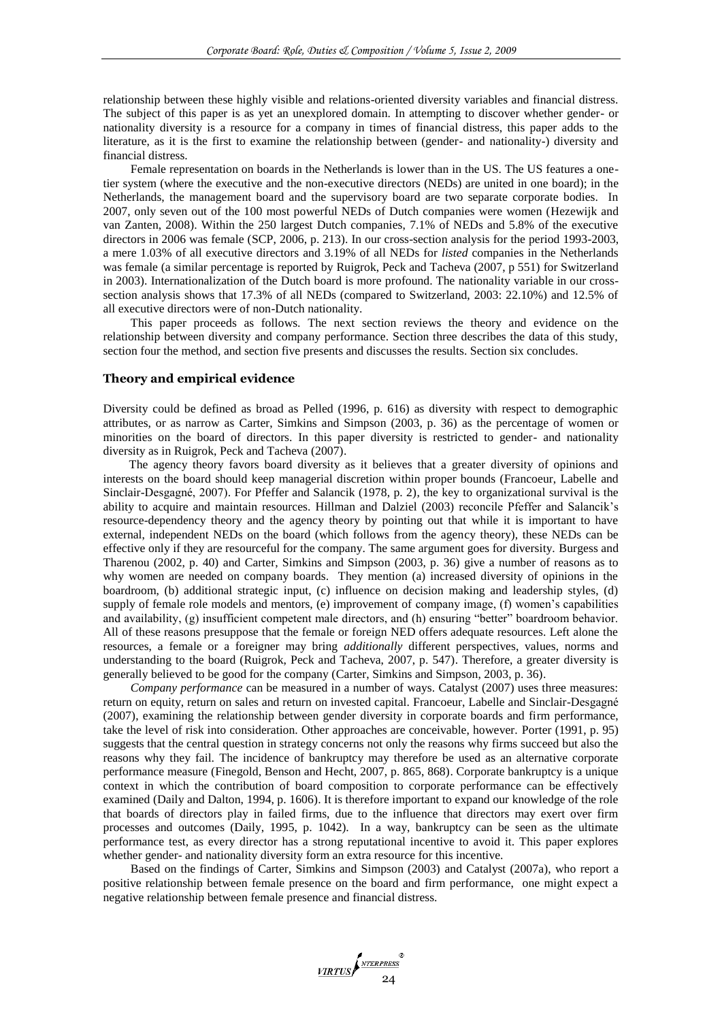relationship between these highly visible and relations-oriented diversity variables and financial distress. The subject of this paper is as yet an unexplored domain. In attempting to discover whether gender- or nationality diversity is a resource for a company in times of financial distress, this paper adds to the literature, as it is the first to examine the relationship between (gender- and nationality-) diversity and financial distress.

Female representation on boards in the Netherlands is lower than in the US. The US features a onetier system (where the executive and the non-executive directors (NEDs) are united in one board); in the Netherlands, the management board and the supervisory board are two separate corporate bodies. In 2007, only seven out of the 100 most powerful NEDs of Dutch companies were women (Hezewijk and van Zanten, 2008). Within the 250 largest Dutch companies, 7.1% of NEDs and 5.8% of the executive directors in 2006 was female (SCP, 2006, p. 213). In our cross-section analysis for the period 1993-2003, a mere 1.03% of all executive directors and 3.19% of all NEDs for *listed* companies in the Netherlands was female (a similar percentage is reported by Ruigrok, Peck and Tacheva (2007, p 551) for Switzerland in 2003). Internationalization of the Dutch board is more profound. The nationality variable in our crosssection analysis shows that 17.3% of all NEDs (compared to Switzerland, 2003: 22.10%) and 12.5% of all executive directors were of non-Dutch nationality.

This paper proceeds as follows. The next section reviews the theory and evidence on the relationship between diversity and company performance. Section three describes the data of this study, section four the method, and section five presents and discusses the results. Section six concludes.

## **Theory and empirical evidence**

Diversity could be defined as broad as Pelled (1996, p. 616) as diversity with respect to demographic attributes, or as narrow as Carter, Simkins and Simpson (2003, p. 36) as the percentage of women or minorities on the board of directors. In this paper diversity is restricted to gender- and nationality diversity as in Ruigrok, Peck and Tacheva (2007).

The agency theory favors board diversity as it believes that a greater diversity of opinions and interests on the board should keep managerial discretion within proper bounds (Francoeur, Labelle and Sinclair-Desgagné, 2007). For Pfeffer and Salancik (1978, p. 2), the key to organizational survival is the ability to acquire and maintain resources. Hillman and Dalziel (2003) reconcile Pfeffer and Salancik's resource-dependency theory and the agency theory by pointing out that while it is important to have external, independent NEDs on the board (which follows from the agency theory), these NEDs can be effective only if they are resourceful for the company. The same argument goes for diversity. Burgess and Tharenou (2002, p. 40) and Carter, Simkins and Simpson (2003, p. 36) give a number of reasons as to why women are needed on company boards. They mention (a) increased diversity of opinions in the boardroom, (b) additional strategic input, (c) influence on decision making and leadership styles, (d) supply of female role models and mentors, (e) improvement of company image, (f) women's capabilities and availability, (g) insufficient competent male directors, and (h) ensuring "better" boardroom behavior. All of these reasons presuppose that the female or foreign NED offers adequate resources. Left alone the resources, a female or a foreigner may bring *additionally* different perspectives, values, norms and understanding to the board (Ruigrok, Peck and Tacheva, 2007, p. 547). Therefore, a greater diversity is generally believed to be good for the company (Carter, Simkins and Simpson, 2003, p. 36).

*Company performance* can be measured in a number of ways. Catalyst (2007) uses three measures: return on equity, return on sales and return on invested capital. Francoeur, Labelle and Sinclair-Desgagné (2007), examining the relationship between gender diversity in corporate boards and firm performance, take the level of risk into consideration. Other approaches are conceivable, however. Porter (1991, p. 95) suggests that the central question in strategy concerns not only the reasons why firms succeed but also the reasons why they fail. The incidence of bankruptcy may therefore be used as an alternative corporate performance measure (Finegold, Benson and Hecht, 2007, p. 865, 868). Corporate bankruptcy is a unique context in which the contribution of board composition to corporate performance can be effectively examined (Daily and Dalton, 1994, p. 1606). It is therefore important to expand our knowledge of the role that boards of directors play in failed firms, due to the influence that directors may exert over firm processes and outcomes (Daily, 1995, p. 1042). In a way, bankruptcy can be seen as the ultimate performance test, as every director has a strong reputational incentive to avoid it. This paper explores whether gender- and nationality diversity form an extra resource for this incentive.

Based on the findings of Carter, Simkins and Simpson (2003) and Catalyst (2007a), who report a positive relationship between female presence on the board and firm performance, one might expect a negative relationship between female presence and financial distress.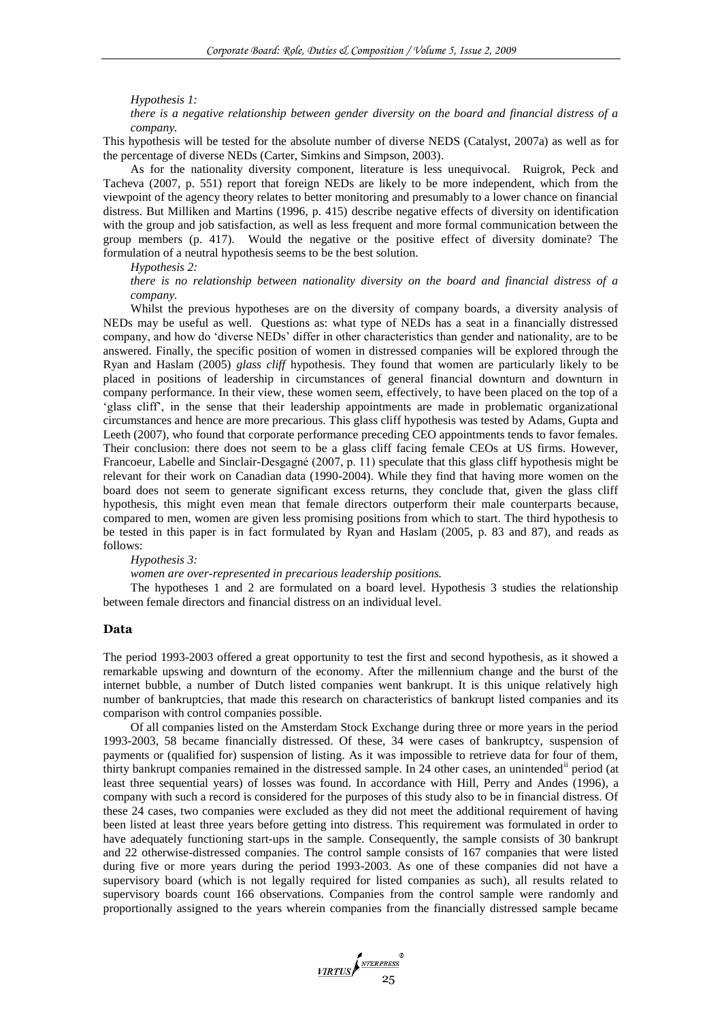#### *Hypothesis 1:*

*there is a negative relationship between gender diversity on the board and financial distress of a company.* 

This hypothesis will be tested for the absolute number of diverse NEDS (Catalyst, 2007a) as well as for the percentage of diverse NEDs (Carter, Simkins and Simpson, 2003).

As for the nationality diversity component, literature is less unequivocal. Ruigrok, Peck and Tacheva (2007, p. 551) report that foreign NEDs are likely to be more independent, which from the viewpoint of the agency theory relates to better monitoring and presumably to a lower chance on financial distress. But Milliken and Martins (1996, p. 415) describe negative effects of diversity on identification with the group and job satisfaction, as well as less frequent and more formal communication between the group members (p. 417). Would the negative or the positive effect of diversity dominate? The formulation of a neutral hypothesis seems to be the best solution.

#### *Hypothesis 2:*

*there is no relationship between nationality diversity on the board and financial distress of a company.*

Whilst the previous hypotheses are on the diversity of company boards, a diversity analysis of NEDs may be useful as well. Questions as: what type of NEDs has a seat in a financially distressed company, and how do 'diverse NEDs' differ in other characteristics than gender and nationality, are to be answered. Finally, the specific position of women in distressed companies will be explored through the Ryan and Haslam (2005) *glass cliff* hypothesis. They found that women are particularly likely to be placed in positions of leadership in circumstances of general financial downturn and downturn in company performance. In their view, these women seem, effectively, to have been placed on the top of a ‗glass cliff', in the sense that their leadership appointments are made in problematic organizational circumstances and hence are more precarious. This glass cliff hypothesis was tested by Adams, Gupta and Leeth (2007), who found that corporate performance preceding CEO appointments tends to favor females. Their conclusion: there does not seem to be a glass cliff facing female CEOs at US firms. However, Francoeur, Labelle and Sinclair-Desgagné (2007, p. 11) speculate that this glass cliff hypothesis might be relevant for their work on Canadian data (1990-2004). While they find that having more women on the board does not seem to generate significant excess returns, they conclude that, given the glass cliff hypothesis, this might even mean that female directors outperform their male counterparts because, compared to men, women are given less promising positions from which to start. The third hypothesis to be tested in this paper is in fact formulated by Ryan and Haslam (2005, p. 83 and 87), and reads as follows:

#### *Hypothesis 3:*

*women are over-represented in precarious leadership positions.*

The hypotheses 1 and 2 are formulated on a board level. Hypothesis 3 studies the relationship between female directors and financial distress on an individual level.

# **Data**

The period 1993-2003 offered a great opportunity to test the first and second hypothesis, as it showed a remarkable upswing and downturn of the economy. After the millennium change and the burst of the internet bubble, a number of Dutch listed companies went bankrupt. It is this unique relatively high number of bankruptcies, that made this research on characteristics of bankrupt listed companies and its comparison with control companies possible.

Of all companies listed on the Amsterdam Stock Exchange during three or more years in the period 1993-2003, 58 became financially distressed. Of these, 34 were cases of bankruptcy, suspension of payments or (qualified for) suspension of listing. As it was impossible to retrieve data for four of them, thirty bankrupt companies remained in the distressed sample. In 24 other cases, an unintended period (at least three sequential years) of losses was found. In accordance with Hill, Perry and Andes (1996), a company with such a record is considered for the purposes of this study also to be in financial distress. Of these 24 cases, two companies were excluded as they did not meet the additional requirement of having been listed at least three years before getting into distress. This requirement was formulated in order to have adequately functioning start-ups in the sample. Consequently, the sample consists of 30 bankrupt and 22 otherwise-distressed companies. The control sample consists of 167 companies that were listed during five or more years during the period 1993-2003. As one of these companies did not have a supervisory board (which is not legally required for listed companies as such), all results related to supervisory boards count 166 observations. Companies from the control sample were randomly and proportionally assigned to the years wherein companies from the financially distressed sample became

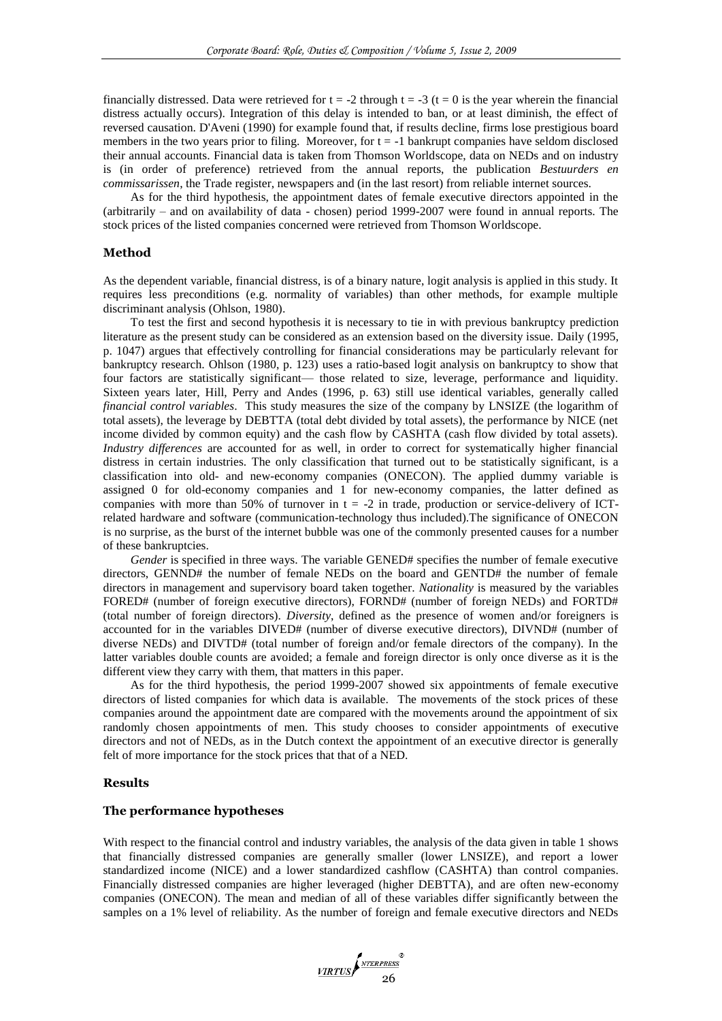financially distressed. Data were retrieved for  $t = -2$  through  $t = -3$  ( $t = 0$  is the year wherein the financial distress actually occurs). Integration of this delay is intended to ban, or at least diminish, the effect of reversed causation. D'Aveni (1990) for example found that, if results decline, firms lose prestigious board members in the two years prior to filing. Moreover, for  $t = -1$  bankrupt companies have seldom disclosed their annual accounts. Financial data is taken from Thomson Worldscope, data on NEDs and on industry is (in order of preference) retrieved from the annual reports, the publication *Bestuurders en commissarissen*, the Trade register, newspapers and (in the last resort) from reliable internet sources.

As for the third hypothesis, the appointment dates of female executive directors appointed in the (arbitrarily – and on availability of data - chosen) period 1999-2007 were found in annual reports. The stock prices of the listed companies concerned were retrieved from Thomson Worldscope.

# **Method**

As the dependent variable, financial distress, is of a binary nature, logit analysis is applied in this study. It requires less preconditions (e.g. normality of variables) than other methods, for example multiple discriminant analysis (Ohlson, 1980).

To test the first and second hypothesis it is necessary to tie in with previous bankruptcy prediction literature as the present study can be considered as an extension based on the diversity issue. Daily (1995, p. 1047) argues that effectively controlling for financial considerations may be particularly relevant for bankruptcy research. Ohlson (1980, p. 123) uses a ratio-based logit analysis on bankruptcy to show that four factors are statistically significant— those related to size, leverage, performance and liquidity. Sixteen years later, Hill, Perry and Andes (1996, p. 63) still use identical variables, generally called *financial control variables*. This study measures the size of the company by LNSIZE (the logarithm of total assets), the leverage by DEBTTA (total debt divided by total assets), the performance by NICE (net income divided by common equity) and the cash flow by CASHTA (cash flow divided by total assets). *Industry differences* are accounted for as well, in order to correct for systematically higher financial distress in certain industries. The only classification that turned out to be statistically significant, is a classification into old- and new-economy companies (ONECON). The applied dummy variable is assigned 0 for old-economy companies and 1 for new-economy companies, the latter defined as companies with more than 50% of turnover in  $t = -2$  in trade, production or service-delivery of ICTrelated hardware and software (communication-technology thus included).The significance of ONECON is no surprise, as the burst of the internet bubble was one of the commonly presented causes for a number of these bankruptcies.

*Gender* is specified in three ways. The variable GENED# specifies the number of female executive directors, GENND# the number of female NEDs on the board and GENTD# the number of female directors in management and supervisory board taken together. *Nationality* is measured by the variables FORED# (number of foreign executive directors), FORND# (number of foreign NEDs) and FORTD# (total number of foreign directors). *Diversity*, defined as the presence of women and/or foreigners is accounted for in the variables DIVED# (number of diverse executive directors), DIVND# (number of diverse NEDs) and DIVTD# (total number of foreign and/or female directors of the company). In the latter variables double counts are avoided; a female and foreign director is only once diverse as it is the different view they carry with them, that matters in this paper.

As for the third hypothesis, the period 1999-2007 showed six appointments of female executive directors of listed companies for which data is available. The movements of the stock prices of these companies around the appointment date are compared with the movements around the appointment of six randomly chosen appointments of men. This study chooses to consider appointments of executive directors and not of NEDs, as in the Dutch context the appointment of an executive director is generally felt of more importance for the stock prices that that of a NED.

## **Results**

## **The performance hypotheses**

With respect to the financial control and industry variables, the analysis of the data given in table 1 shows that financially distressed companies are generally smaller (lower LNSIZE), and report a lower standardized income (NICE) and a lower standardized cashflow (CASHTA) than control companies. Financially distressed companies are higher leveraged (higher DEBTTA), and are often new-economy companies (ONECON). The mean and median of all of these variables differ significantly between the samples on a 1% level of reliability. As the number of foreign and female executive directors and NEDs

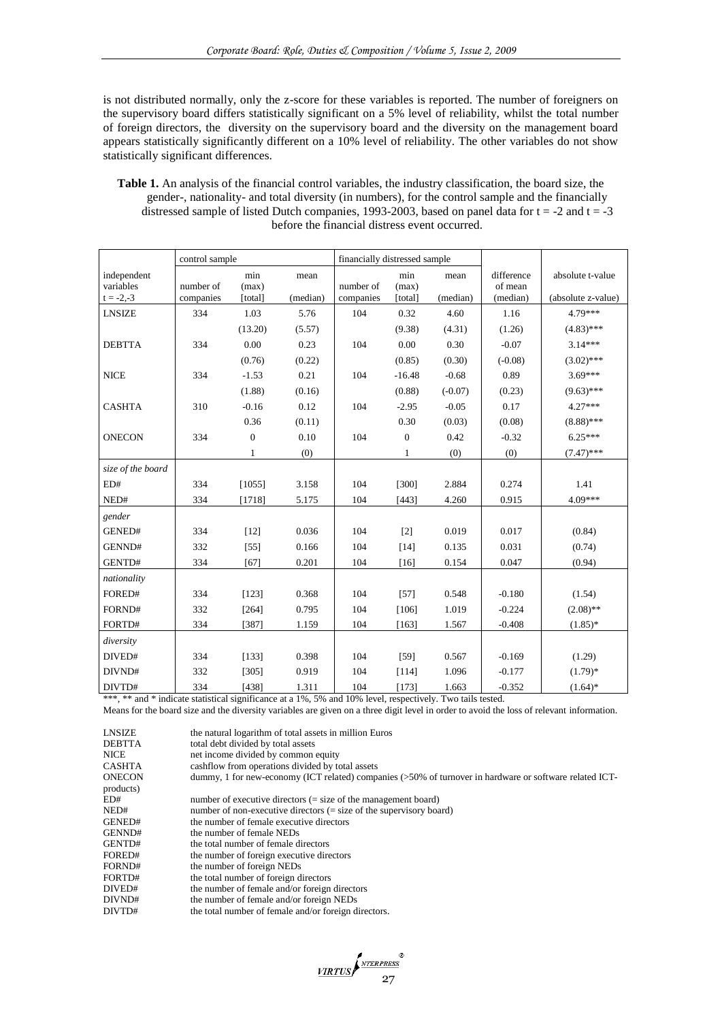is not distributed normally, only the z-score for these variables is reported. The number of foreigners on the supervisory board differs statistically significant on a 5% level of reliability, whilst the total number of foreign directors, the diversity on the supervisory board and the diversity on the management board appears statistically significantly different on a 10% level of reliability. The other variables do not show statistically significant differences.

| <b>Table 1.</b> An analysis of the financial control variables, the industry classification, the board size, the |
|------------------------------------------------------------------------------------------------------------------|
| gender-, nationality- and total diversity (in numbers), for the control sample and the financially               |
| distressed sample of listed Dutch companies, 1993-2003, based on panel data for $t = -2$ and $t = -3$            |
| before the financial distress event occurred.                                                                    |

|                          | control sample         |                  |          | financially distressed sample |                  |           |                     |                    |
|--------------------------|------------------------|------------------|----------|-------------------------------|------------------|-----------|---------------------|--------------------|
| independent              |                        | min              | mean     |                               | min              | mean      | difference          | absolute t-value   |
| variables<br>$t = -2,-3$ | number of<br>companies | (max)<br>[total] | (median) | number of<br>companies        | (max)<br>[total] | (median)  | of mean<br>(median) | (absolute z-value) |
| <b>LNSIZE</b>            | 334                    | 1.03             | 5.76     | 104                           | 0.32             | 4.60      | 1.16                | 4.79***            |
|                          |                        | (13.20)          | (5.57)   |                               | (9.38)           | (4.31)    | (1.26)              | $(4.83)$ ***       |
| <b>DEBTTA</b>            | 334                    | 0.00             | 0.23     | 104                           | 0.00             | 0.30      | $-0.07$             | $3.14***$          |
|                          |                        | (0.76)           | (0.22)   |                               | (0.85)           | (0.30)    | $(-0.08)$           | $(3.02)$ ***       |
| <b>NICE</b>              | 334                    | $-1.53$          | 0.21     | 104                           | $-16.48$         | $-0.68$   | 0.89                | $3.69***$          |
|                          |                        | (1.88)           | (0.16)   |                               | (0.88)           | $(-0.07)$ | (0.23)              | $(9.63)$ ***       |
| <b>CASHTA</b>            | 310                    | $-0.16$          | 0.12     | 104                           | $-2.95$          | $-0.05$   | 0.17                | $4.27***$          |
|                          |                        | 0.36             | (0.11)   |                               | 0.30             | (0.03)    | (0.08)              | $(8.88)$ ***       |
| <b>ONECON</b>            | 334                    | $\overline{0}$   | 0.10     | 104                           | $\overline{0}$   | 0.42      | $-0.32$             | $6.25***$          |
|                          |                        | $\mathbf{1}$     | (0)      |                               | $\mathbf{1}$     | (0)       | (0)                 | $(7.47)$ ***       |
| size of the board        |                        |                  |          |                               |                  |           |                     |                    |
| ED#                      | 334                    | [1055]           | 3.158    | 104                           | [300]            | 2.884     | 0.274               | 1.41               |
| NED#                     | 334                    | [1718]           | 5.175    | 104                           | [443]            | 4.260     | 0.915               | 4.09***            |
| gender                   |                        |                  |          |                               |                  |           |                     |                    |
| GENED#                   | 334                    | $[12]$           | 0.036    | 104                           | $[2]$            | 0.019     | 0.017               | (0.84)             |
| GENND#                   | 332                    | $[55]$           | 0.166    | 104                           | $[14]$           | 0.135     | 0.031               | (0.74)             |
| GENTD#                   | 334                    | [67]             | 0.201    | 104                           | [16]             | 0.154     | 0.047               | (0.94)             |
| nationality              |                        |                  |          |                               |                  |           |                     |                    |
| FORED#                   | 334                    | [123]            | 0.368    | 104                           | $[57]$           | 0.548     | $-0.180$            | (1.54)             |
| FORND#                   | 332                    | [264]            | 0.795    | 104                           | [106]            | 1.019     | $-0.224$            | $(2.08)$ **        |
| FORTD#                   | 334                    | [387]            | 1.159    | 104                           | [163]            | 1.567     | $-0.408$            | $(1.85)^*$         |
| diversity                |                        |                  |          |                               |                  |           |                     |                    |
| DIVED#                   | 334                    | [133]            | 0.398    | 104                           | $[59]$           | 0.567     | $-0.169$            | (1.29)             |
| DIVND#                   | 332                    | [305]            | 0.919    | 104                           | $[114]$          | 1.096     | $-0.177$            | $(1.79)$ *         |
| DIVTD#                   | 334                    | [438]            | 1.311    | 104                           | [173]            | 1.663     | $-0.352$            | $(1.64)$ *         |

\*\*\*, \*\* and \* indicate statistical significance at a 1%, 5% and 10% level, respectively. Two tails tested.

Means for the board size and the diversity variables are given on a three digit level in order to avoid the loss of relevant information.

| LNSIZE        | the natural logarithm of total assets in million Euros                                                    |
|---------------|-----------------------------------------------------------------------------------------------------------|
| <b>DEBTTA</b> | total debt divided by total assets                                                                        |
| <b>NICE</b>   | net income divided by common equity                                                                       |
| <b>CASHTA</b> | cashflow from operations divided by total assets                                                          |
| <b>ONECON</b> | dummy, 1 for new-economy (ICT related) companies $(50\%$ of turnover in hardware or software related ICT- |
| products)     |                                                                                                           |
| ED#           | number of executive directors $(=\text{size of the management board})$                                    |
| NED#          | number of non-executive directors $(=\text{size of the supervisory board})$                               |
| GENED#        | the number of female executive directors                                                                  |
| GENND#        | the number of female NEDs                                                                                 |
| GENTD#        | the total number of female directors                                                                      |
| FORED#        | the number of foreign executive directors                                                                 |
| FORND#        | the number of foreign NEDs                                                                                |
| FORTD#        | the total number of foreign directors                                                                     |
| DIVED#        | the number of female and/or foreign directors                                                             |
| DIVND#        | the number of female and/or foreign NEDs                                                                  |
| DIVTD#        | the total number of female and/or foreign directors.                                                      |
|               |                                                                                                           |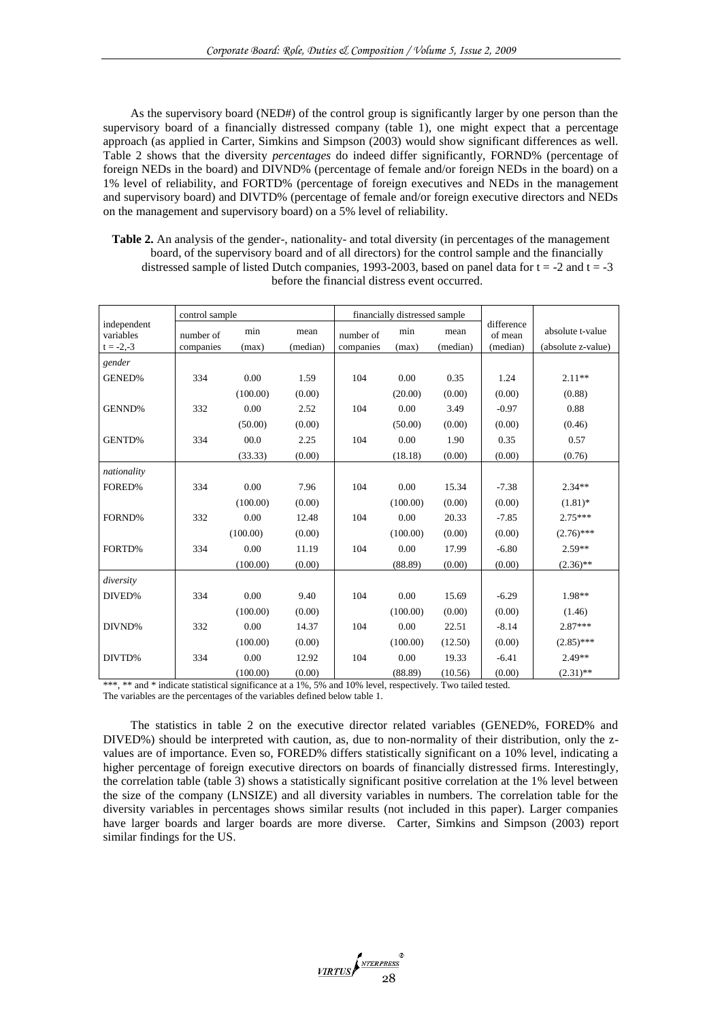As the supervisory board (NED#) of the control group is significantly larger by one person than the supervisory board of a financially distressed company (table 1), one might expect that a percentage approach (as applied in Carter, Simkins and Simpson (2003) would show significant differences as well. Table 2 shows that the diversity *percentages* do indeed differ significantly, FORND% (percentage of foreign NEDs in the board) and DIVND% (percentage of female and/or foreign NEDs in the board) on a 1% level of reliability, and FORTD% (percentage of foreign executives and NEDs in the management and supervisory board) and DIVTD% (percentage of female and/or foreign executive directors and NEDs on the management and supervisory board) on a 5% level of reliability.

**Table 2.** An analysis of the gender-, nationality- and total diversity (in percentages of the management board, of the supervisory board and of all directors) for the control sample and the financially distressed sample of listed Dutch companies, 1993-2003, based on panel data for  $t = -2$  and  $t = -3$ before the financial distress event occurred.

|                          | control sample |          |          |           | financially distressed sample |          |                       |                    |
|--------------------------|----------------|----------|----------|-----------|-------------------------------|----------|-----------------------|--------------------|
| independent<br>variables | number of      | min      | mean     | number of | min                           | mean     | difference<br>of mean | absolute t-value   |
| $t = -2,-3$              | companies      | (max)    | (median) | companies | (max)                         | (median) | (median)              | (absolute z-value) |
| gender                   |                |          |          |           |                               |          |                       |                    |
| <b>GENED%</b>            | 334            | 0.00     | 1.59     | 104       | 0.00                          | 0.35     | 1.24                  | $2.11**$           |
|                          |                | (100.00) | (0.00)   |           | (20.00)                       | (0.00)   | (0.00)                | (0.88)             |
| GENND%                   | 332            | 0.00     | 2.52     | 104       | 0.00                          | 3.49     | $-0.97$               | 0.88               |
|                          |                | (50.00)  | (0.00)   |           | (50.00)                       | (0.00)   | (0.00)                | (0.46)             |
| GENTD%                   | 334            | 00.0     | 2.25     | 104       | 0.00                          | 1.90     | 0.35                  | 0.57               |
|                          |                | (33.33)  | (0.00)   |           | (18.18)                       | (0.00)   | (0.00)                | (0.76)             |
| nationality              |                |          |          |           |                               |          |                       |                    |
| FORED%                   | 334            | 0.00     | 7.96     | 104       | 0.00                          | 15.34    | $-7.38$               | $2.34**$           |
|                          |                | (100.00) | (0.00)   |           | (100.00)                      | (0.00)   | (0.00)                | $(1.81)$ *         |
| FORND%                   | 332            | 0.00     | 12.48    | 104       | 0.00                          | 20.33    | $-7.85$               | $2.75***$          |
|                          |                | (100.00) | (0.00)   |           | (100.00)                      | (0.00)   | (0.00)                | $(2.76)$ ***       |
| FORTD%                   | 334            | 0.00     | 11.19    | 104       | 0.00                          | 17.99    | $-6.80$               | $2.59**$           |
|                          |                | (100.00) | (0.00)   |           | (88.89)                       | (0.00)   | (0.00)                | $(2.36)$ **        |
| diversity                |                |          |          |           |                               |          |                       |                    |
| DIVED%                   | 334            | 0.00     | 9.40     | 104       | 0.00                          | 15.69    | $-6.29$               | 1.98**             |
|                          |                | (100.00) | (0.00)   |           | (100.00)                      | (0.00)   | (0.00)                | (1.46)             |
| DIVND%                   | 332            | 0.00     | 14.37    | 104       | 0.00                          | 22.51    | $-8.14$               | $2.87***$          |
|                          |                | (100.00) | (0.00)   |           | (100.00)                      | (12.50)  | (0.00)                | $(2.85)$ ***       |
| DIVTD%                   | 334            | 0.00     | 12.92    | 104       | 0.00                          | 19.33    | $-6.41$               | $2.49**$           |
|                          |                | (100.00) | (0.00)   |           | (88.89)                       | (10.56)  | (0.00)                | $(2.31)$ **        |

\*\*\*, \*\* and \* indicate statistical significance at a 1%, 5% and 10% level, respectively. Two tailed tested.

The variables are the percentages of the variables defined below table 1.

The statistics in table 2 on the executive director related variables (GENED%, FORED% and DIVED%) should be interpreted with caution, as, due to non-normality of their distribution, only the zvalues are of importance. Even so, FORED% differs statistically significant on a 10% level, indicating a higher percentage of foreign executive directors on boards of financially distressed firms. Interestingly, the correlation table (table 3) shows a statistically significant positive correlation at the 1% level between the size of the company (LNSIZE) and all diversity variables in numbers. The correlation table for the diversity variables in percentages shows similar results (not included in this paper). Larger companies have larger boards and larger boards are more diverse. Carter, Simkins and Simpson (2003) report similar findings for the US.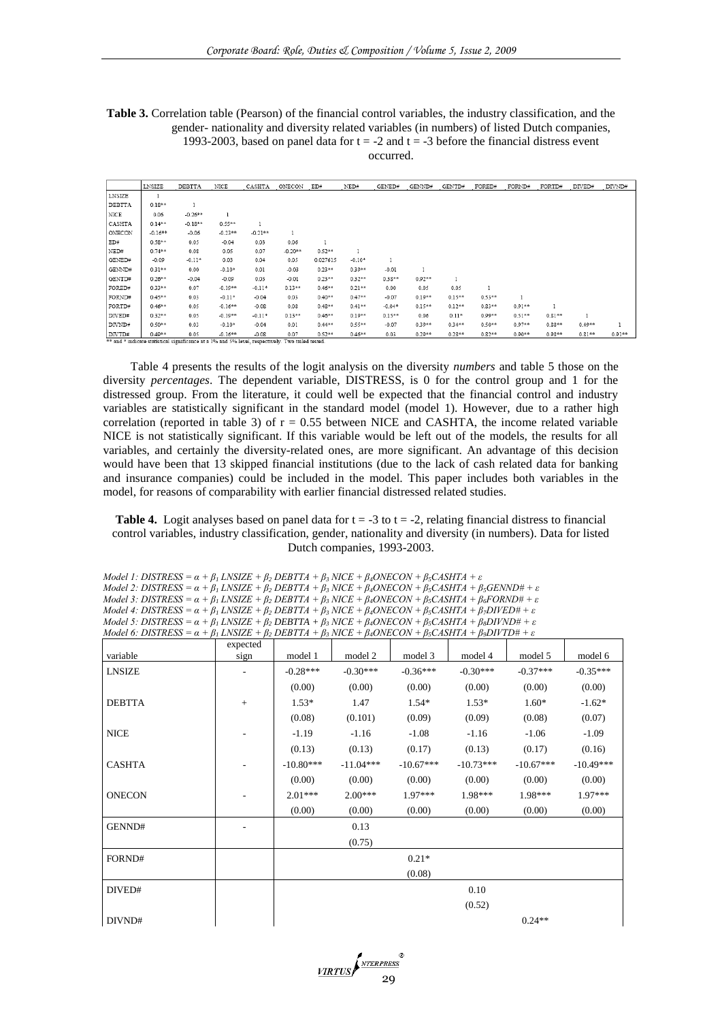**Table 3.** Correlation table (Pearson) of the financial control variables, the industry classification, and the gender- nationality and diversity related variables (in numbers) of listed Dutch companies, 1993-2003, based on panel data for  $t = -2$  and  $t = -3$  before the financial distress event occurred.

|               | LNSIZE    | <b>DEBTTA</b>                                                                                     | NICE       | CASHTA    | ONECON    | ED#       | NED#      | GENED#    | GENND#   | GENTD#    | FORED#   | FORND#   | FORTD#    | DIVED#   | DIVND#   |
|---------------|-----------|---------------------------------------------------------------------------------------------------|------------|-----------|-----------|-----------|-----------|-----------|----------|-----------|----------|----------|-----------|----------|----------|
| <b>LNSIZE</b> |           |                                                                                                   |            |           |           |           |           |           |          |           |          |          |           |          |          |
| DEBTTA        | $0.18***$ | 1                                                                                                 |            |           |           |           |           |           |          |           |          |          |           |          |          |
| NICE          | 0.06      | $-0.26**$                                                                                         |            |           |           |           |           |           |          |           |          |          |           |          |          |
| CASHTA        | $0.14***$ | $-0.18**$                                                                                         | $0.55***$  |           |           |           |           |           |          |           |          |          |           |          |          |
| ONECON        | $-0.16**$ | $-0.06$                                                                                           | $-0.23**$  | $-0.21**$ | 1         |           |           |           |          |           |          |          |           |          |          |
| ED#           | $0.58**$  | 0.05                                                                                              | $-0.04$    | 0.03      | 0.06      |           |           |           |          |           |          |          |           |          |          |
| NED#          | $0.74***$ | 0.08                                                                                              | 0.05       | 0.07      | $-0.20**$ | $0.52**$  |           |           |          |           |          |          |           |          |          |
| GENED#        | $-0.09$   | $-0.11*$                                                                                          | 0.03       | 0.04      | 0.05      | 0.027615  | $-0.10*$  | 1         |          |           |          |          |           |          |          |
| GENND#        | $0.31***$ | 0.00                                                                                              | $-0.10*$   | 0.01      | $-0.03$   | $0.23**$  | $0.39**$  | $-0.01$   |          |           |          |          |           |          |          |
| GENTD#        | $0.26**$  | $-0.04$                                                                                           | $-0.09$    | 0.03      | $-0.01$   | $0.23**$  | $0.32**$  | $0.38**$  | $0.92**$ |           |          |          |           |          |          |
| FORED#        | $0.33**$  | 0.07                                                                                              | $-0.19**$  | $-0.11*$  | $0.13**$  | $0.46**$  | $0.21**$  | 0.00      | 0.05     | 0.05      | 1        |          |           |          |          |
| FORND#        | $0.45**$  | 0.03                                                                                              | $-0.11*$   | $-0.04$   | 0.03      | $0.40**$  | $0.47**$  | $-0.07$   | $0.19**$ | $0.15**$  | $0.53**$ |          |           |          |          |
| FORTD#        | $0.46**$  | 0.05                                                                                              | $-0.16***$ | $-0.08$   | 0.08      | $0.48**$  | $0.41**$  | $-0.04*$  | $0.15**$ | $0.12**$  | $0.83**$ | $0.91**$ |           |          |          |
| DIVED#        | $0.32***$ | 0.05                                                                                              | $-0.19**$  | $-0.11*$  | $0.13**$  | $0.46***$ | $0.19**$  | $0.15***$ | 0.06     | $0.11*$   | $0.99**$ | $0.51**$ | $0.81***$ |          |          |
| DIVND#        | $0.50**$  | 0.03                                                                                              | $-0.10*$   | $-0.04$   | 0.01      | $0.44**$  | $0.55***$ | $-0.07$   | $0.39**$ | $0.34***$ | $0.50**$ | $0.97**$ | $0.88***$ | $0.49**$ | 1        |
| DIVID#        | $0.49**$  | 0.05                                                                                              | $-0.16***$ | $-0.08$   | 0.07      | $0.52**$  | $0.46**$  | 0.03      | $0.29**$ | $0.28**$  | $0.82**$ | $0.90**$ | $0.98**$  | $0.81**$ | $0.91**$ |
|               |           | ** and * indicate statistical significance at a 1% and 5% level, respectively. Two tailed tested. |            |           |           |           |           |           |          |           |          |          |           |          |          |

Table 4 presents the results of the logit analysis on the diversity *numbers* and table 5 those on the diversity *percentages*. The dependent variable, DISTRESS, is 0 for the control group and 1 for the distressed group. From the literature, it could well be expected that the financial control and industry variables are statistically significant in the standard model (model 1). However, due to a rather high correlation (reported in table 3) of  $r = 0.55$  between NICE and CASHTA, the income related variable NICE is not statistically significant. If this variable would be left out of the models, the results for all variables, and certainly the diversity-related ones, are more significant. An advantage of this decision would have been that 13 skipped financial institutions (due to the lack of cash related data for banking and insurance companies) could be included in the model. This paper includes both variables in the model, for reasons of comparability with earlier financial distressed related studies.

**Table 4.** Logit analyses based on panel data for  $t = -3$  to  $t = -2$ , relating financial distress to financial control variables, industry classification, gender, nationality and diversity (in numbers). Data for listed Dutch companies, 1993-2003.

*Model 1: DISTRESS = α + β<sup>1</sup> LNSIZE + β<sup>2</sup> DEBTTA + β<sup>3</sup> NICE + β4ONECON + β5CASHTA + ε Model 2: DISTRESS* =  $\alpha + \beta_1$  *LNSIZE* +  $\beta_2$  *DEBTTA* +  $\beta_3$  *NICE* +  $\beta_4$ *ONECON* +  $\beta_5$ *CASHTA* +  $\beta_5$ *GENND*<sup>#</sup> +  $\varepsilon$ *Model 3: DISTRESS = α + β<sup>1</sup> LNSIZE + β<sup>2</sup> DEBTTA + β<sup>3</sup> NICE + β4ONECON + β5CASHTA + β6FORND# + ε Model 4: DISTRESS = α + β<sup>1</sup> LNSIZE + β<sup>2</sup> DEBTTA + β<sup>3</sup> NICE + β4ONECON + β5CASHTA + β7DIVED# + ε Model 5: DISTRESS* =  $\alpha + \beta_1$  *LNSIZE* +  $\beta_2$  *DEBTTA* +  $\beta_3$  *NICE* +  $\beta_4$ *ONECON* +  $\beta_5$ *CASHTA* +  $\beta_8$ *DIVND*# +  $\varepsilon$ *Model 6: DISTRESS* =  $\alpha + \beta_1$  *LNSIZE* +  $\beta_2$  *DEBTTA* +  $\beta_3$  *NICE* +  $\beta_4$ *ONECON* +  $\beta_5$ *CASHTA* +  $\beta_9$ *DIVTD*# +  $\varepsilon$ 

|               | expected |             |             |             |             |             |             |
|---------------|----------|-------------|-------------|-------------|-------------|-------------|-------------|
| variable      | sign     | model 1     | model 2     | model 3     | model 4     | model 5     | model 6     |
| <b>LNSIZE</b> |          | $-0.28***$  | $-0.30***$  | $-0.36***$  | $-0.30***$  | $-0.37***$  | $-0.35***$  |
|               |          | (0.00)      | (0.00)      | (0.00)      | (0.00)      | (0.00)      | (0.00)      |
| <b>DEBTTA</b> | $^{+}$   | $1.53*$     | 1.47        | $1.54*$     | $1.53*$     | $1.60*$     | $-1.62*$    |
|               |          | (0.08)      | (0.101)     | (0.09)      | (0.09)      | (0.08)      | (0.07)      |
| <b>NICE</b>   |          | $-1.19$     | $-1.16$     | $-1.08$     | $-1.16$     | $-1.06$     | $-1.09$     |
|               |          | (0.13)      | (0.13)      | (0.17)      | (0.13)      | (0.17)      | (0.16)      |
| <b>CASHTA</b> |          | $-10.80***$ | $-11.04***$ | $-10.67***$ | $-10.73***$ | $-10.67***$ | $-10.49***$ |
|               |          | (0.00)      | (0.00)      | (0.00)      | (0.00)      | (0.00)      | (0.00)      |
| <b>ONECON</b> |          | $2.01***$   | $2.00***$   | $1.97***$   | $1.98***$   | $1.98***$   | $1.97***$   |
|               |          | (0.00)      | (0.00)      | (0.00)      | (0.00)      | (0.00)      | (0.00)      |
| GENND#        |          |             | 0.13        |             |             |             |             |
|               |          |             | (0.75)      |             |             |             |             |
| FORND#        |          |             |             | $0.21*$     |             |             |             |
|               |          |             |             | (0.08)      |             |             |             |
| DIVED#        |          |             |             |             | 0.10        |             |             |
|               |          |             |             |             | (0.52)      |             |             |
| DIVND#        |          |             |             |             |             | $0.24**$    |             |

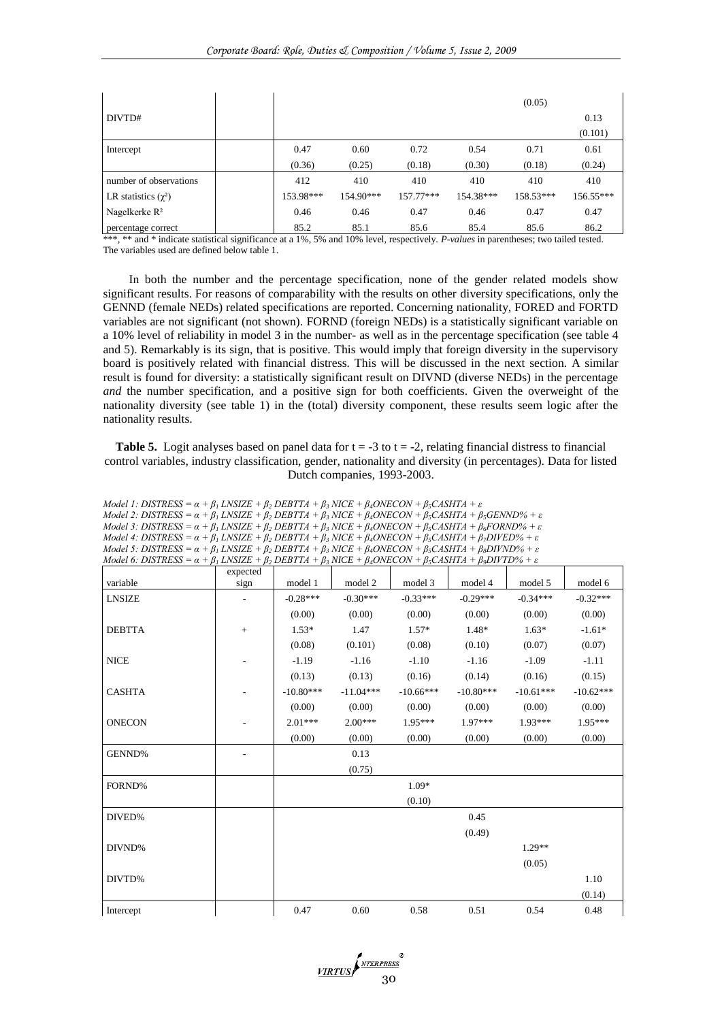|                            |           |           |             |           | (0.05)    |           |
|----------------------------|-----------|-----------|-------------|-----------|-----------|-----------|
| DIVTD#                     |           |           |             |           |           | 0.13      |
|                            |           |           |             |           |           | (0.101)   |
| Intercept                  | 0.47      | 0.60      | 0.72        | 0.54      | 0.71      | 0.61      |
|                            | (0.36)    | (0.25)    | (0.18)      | (0.30)    | (0.18)    | (0.24)    |
| number of observations     | 412       | 410       | 410         | 410       | 410       | 410       |
| LR statistics $(\gamma^2)$ | 153.98*** | 154.90*** | $157.77***$ | 154.38*** | 158.53*** | 156.55*** |
| Nagelkerke $R^2$           | 0.46      | 0.46      | 0.47        | 0.46      | 0.47      | 0.47      |
| percentage correct         | 85.2      | 85.1      | 85.6        | 85.4      | 85.6      | 86.2      |

\*\*\*, \*\* and \* indicate statistical significance at a 1%, 5% and 10% level, respectively. *P-values* in parentheses; two tailed tested. The variables used are defined below table 1.

In both the number and the percentage specification, none of the gender related models show significant results. For reasons of comparability with the results on other diversity specifications, only the GENND (female NEDs) related specifications are reported. Concerning nationality, FORED and FORTD variables are not significant (not shown). FORND (foreign NEDs) is a statistically significant variable on a 10% level of reliability in model 3 in the number- as well as in the percentage specification (see table 4 and 5). Remarkably is its sign, that is positive. This would imply that foreign diversity in the supervisory board is positively related with financial distress. This will be discussed in the next section. A similar result is found for diversity: a statistically significant result on DIVND (diverse NEDs) in the percentage *and* the number specification, and a positive sign for both coefficients. Given the overweight of the nationality diversity (see table 1) in the (total) diversity component, these results seem logic after the nationality results.

**Table 5.** Logit analyses based on panel data for  $t = -3$  to  $t = -2$ , relating financial distress to financial control variables, industry classification, gender, nationality and diversity (in percentages). Data for listed Dutch companies, 1993-2003.

| Model 1: DISTRESS = $\alpha + \beta_1$ LNSIZE + $\beta_2$ DEBTTA + $\beta_3$ NICE + $\beta_4$ ONECON + $\beta_5$ CASHTA + $\varepsilon$                    |          |             |             |             |             |             |             |
|------------------------------------------------------------------------------------------------------------------------------------------------------------|----------|-------------|-------------|-------------|-------------|-------------|-------------|
| Model 2: DISTRESS = $\alpha + \beta_1$ LNSIZE + $\beta_2$ DEBTTA + $\beta_3$ NICE + $\beta_4$ ONECON + $\beta_5$ CASHTA + $\beta_5$ GENND% + $\varepsilon$ |          |             |             |             |             |             |             |
| Model 3: DISTRESS = $\alpha + \beta_1$ LNSIZE + $\beta_2$ DEBTTA + $\beta_3$ NICE + $\beta_4$ ONECON + $\beta_5$ CASHTA + $\beta_6$ FORND% + $\varepsilon$ |          |             |             |             |             |             |             |
| Model 4: DISTRESS = $\alpha + \beta_1$ LNSIZE + $\beta_2$ DEBTTA + $\beta_3$ NICE + $\beta_4$ ONECON + $\beta_5$ CASHTA + $\beta_7$ DIVED% + $\varepsilon$ |          |             |             |             |             |             |             |
| Model 5: DISTRESS = $\alpha + \beta_1$ LNSIZE + $\beta_2$ DEBTTA + $\beta_3$ NICE + $\beta_4$ ONECON + $\beta_5$ CASHTA + $\beta_8$ DIVND% + $\varepsilon$ |          |             |             |             |             |             |             |
| Model 6: DISTRESS = $\alpha + \beta_1$ LNSIZE + $\beta_2$ DEBTTA + $\beta_3$ NICE + $\beta_4$ ONECON + $\beta_5$ CASHTA + $\beta_9$ DIVTD% + $\varepsilon$ |          |             |             |             |             |             |             |
|                                                                                                                                                            | expected |             |             |             |             |             |             |
| variable                                                                                                                                                   | sign     | model 1     | model 2     | model 3     | model 4     | model 5     | model 6     |
| <b>LNSIZE</b>                                                                                                                                              |          | $-0.28***$  | $-0.30***$  | $-0.33***$  | $-0.29***$  | $-0.34***$  | $-0.32***$  |
|                                                                                                                                                            |          | (0.00)      | (0.00)      | (0.00)      | (0.00)      | (0.00)      | (0.00)      |
| <b>DEBTTA</b>                                                                                                                                              | $^{+}$   | $1.53*$     | 1.47        | $1.57*$     | $1.48*$     | $1.63*$     | $-1.61*$    |
|                                                                                                                                                            |          | (0.08)      | (0.101)     | (0.08)      | (0.10)      | (0.07)      | (0.07)      |
| <b>NICE</b>                                                                                                                                                |          | $-1.19$     | $-1.16$     | $-1.10$     | $-1.16$     | $-1.09$     | $-1.11$     |
|                                                                                                                                                            |          | (0.13)      | (0.13)      | (0.16)      | (0.14)      | (0.16)      | (0.15)      |
| <b>CASHTA</b>                                                                                                                                              |          | $-10.80***$ | $-11.04***$ | $-10.66***$ | $-10.80***$ | $-10.61***$ | $-10.62***$ |
|                                                                                                                                                            |          | (0.00)      | (0.00)      | (0.00)      | (0.00)      | (0.00)      | (0.00)      |
| <b>ONECON</b>                                                                                                                                              |          | $2.01***$   | $2.00***$   | $1.95***$   | $1.97***$   | $1.93***$   | $1.95***$   |
|                                                                                                                                                            |          | (0.00)      | (0.00)      | (0.00)      | (0.00)      | (0.00)      | (0.00)      |
| GENND%                                                                                                                                                     |          |             | 0.13        |             |             |             |             |
|                                                                                                                                                            |          |             | (0.75)      |             |             |             |             |
| FORND%                                                                                                                                                     |          |             |             | $1.09*$     |             |             |             |
|                                                                                                                                                            |          |             |             | (0.10)      |             |             |             |
| DIVED%                                                                                                                                                     |          |             |             |             | 0.45        |             |             |
|                                                                                                                                                            |          |             |             |             | (0.49)      |             |             |
| DIVND%                                                                                                                                                     |          |             |             |             |             | $1.29**$    |             |
|                                                                                                                                                            |          |             |             |             |             | (0.05)      |             |
| DIVTD%                                                                                                                                                     |          |             |             |             |             |             | 1.10        |
|                                                                                                                                                            |          |             |             |             |             |             | (0.14)      |
| Intercept                                                                                                                                                  |          | 0.47        | 0.60        | 0.58        | 0.51        | 0.54        | 0.48        |

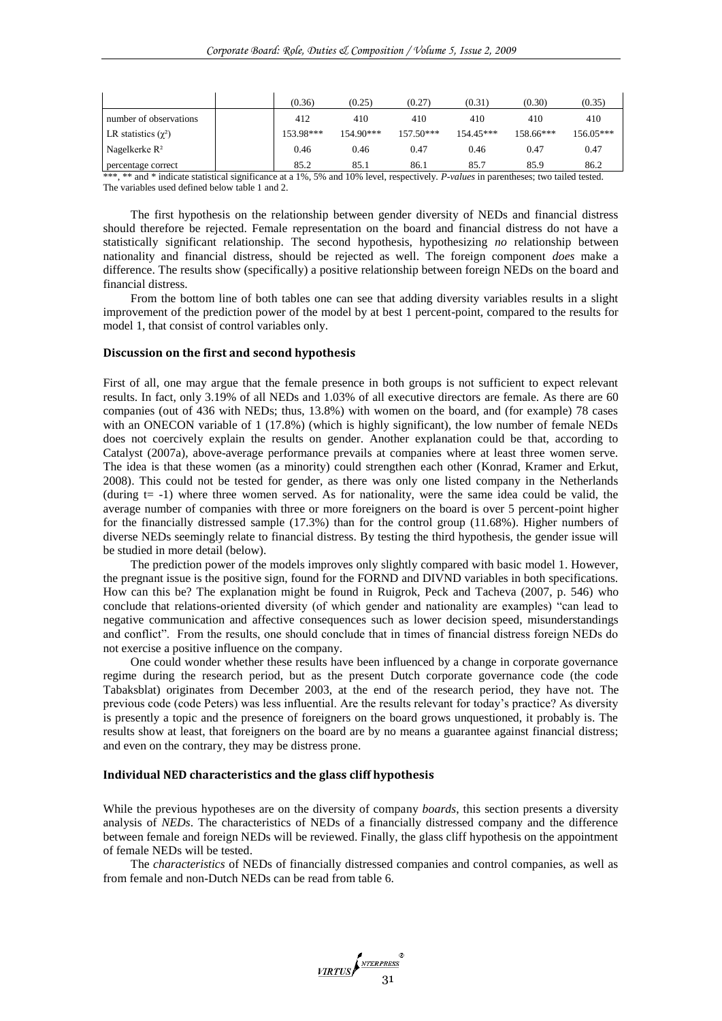|                                      | (0.36)    | (0.25)    | (0.27)      | (0.31)      | (0.30)    | (0.35)    |
|--------------------------------------|-----------|-----------|-------------|-------------|-----------|-----------|
| number of observations               | 412       | 410       | 410         | 410         | 410       | 410       |
| LR statistics $(\gamma^2)$           | 153.98*** | 154.90*** | $157.50***$ | $154.45***$ | 158.66*** | 156.05*** |
| Nagelkerke $R^2$                     | 0.46      | 0.46      | 0.47        | 0.46        | 0.47      | 0.47      |
| percentage correct<br>$\cdot$ $\sim$ | 85.2      | 85.1      | 86.1        | 85.7        | 85.9      | 86.2      |

\*\*\*, \*\* and \* indicate statistical significance at a 1%, 5% and 10% level, respectively. *P-values* in parentheses; two tailed tested. The variables used defined below table 1 and 2.

The first hypothesis on the relationship between gender diversity of NEDs and financial distress should therefore be rejected. Female representation on the board and financial distress do not have a statistically significant relationship. The second hypothesis, hypothesizing *no* relationship between nationality and financial distress, should be rejected as well. The foreign component *does* make a difference. The results show (specifically) a positive relationship between foreign NEDs on the board and financial distress.

From the bottom line of both tables one can see that adding diversity variables results in a slight improvement of the prediction power of the model by at best 1 percent-point, compared to the results for model 1, that consist of control variables only.

## **Discussion on the first and second hypothesis**

First of all, one may argue that the female presence in both groups is not sufficient to expect relevant results. In fact, only 3.19% of all NEDs and 1.03% of all executive directors are female. As there are 60 companies (out of 436 with NEDs; thus, 13.8%) with women on the board, and (for example) 78 cases with an ONECON variable of 1 (17.8%) (which is highly significant), the low number of female NEDs does not coercively explain the results on gender. Another explanation could be that, according to Catalyst (2007a), above-average performance prevails at companies where at least three women serve. The idea is that these women (as a minority) could strengthen each other (Konrad, Kramer and Erkut, 2008). This could not be tested for gender, as there was only one listed company in the Netherlands (during  $t= -1$ ) where three women served. As for nationality, were the same idea could be valid, the average number of companies with three or more foreigners on the board is over 5 percent-point higher for the financially distressed sample (17.3%) than for the control group (11.68%). Higher numbers of diverse NEDs seemingly relate to financial distress. By testing the third hypothesis, the gender issue will be studied in more detail (below).

The prediction power of the models improves only slightly compared with basic model 1. However, the pregnant issue is the positive sign, found for the FORND and DIVND variables in both specifications. How can this be? The explanation might be found in Ruigrok, Peck and Tacheva (2007, p. 546) who conclude that relations-oriented diversity (of which gender and nationality are examples) "can lead to negative communication and affective consequences such as lower decision speed, misunderstandings and conflict". From the results, one should conclude that in times of financial distress foreign NEDs do not exercise a positive influence on the company.

One could wonder whether these results have been influenced by a change in corporate governance regime during the research period, but as the present Dutch corporate governance code (the code Tabaksblat) originates from December 2003, at the end of the research period, they have not. The previous code (code Peters) was less influential. Are the results relevant for today's practice? As diversity is presently a topic and the presence of foreigners on the board grows unquestioned, it probably is. The results show at least, that foreigners on the board are by no means a guarantee against financial distress; and even on the contrary, they may be distress prone.

#### **Individual NED characteristics and the glass cliff hypothesis**

While the previous hypotheses are on the diversity of company *boards*, this section presents a diversity analysis of *NEDs*. The characteristics of NEDs of a financially distressed company and the difference between female and foreign NEDs will be reviewed. Finally, the glass cliff hypothesis on the appointment of female NEDs will be tested.

The *characteristics* of NEDs of financially distressed companies and control companies, as well as from female and non-Dutch NEDs can be read from table 6.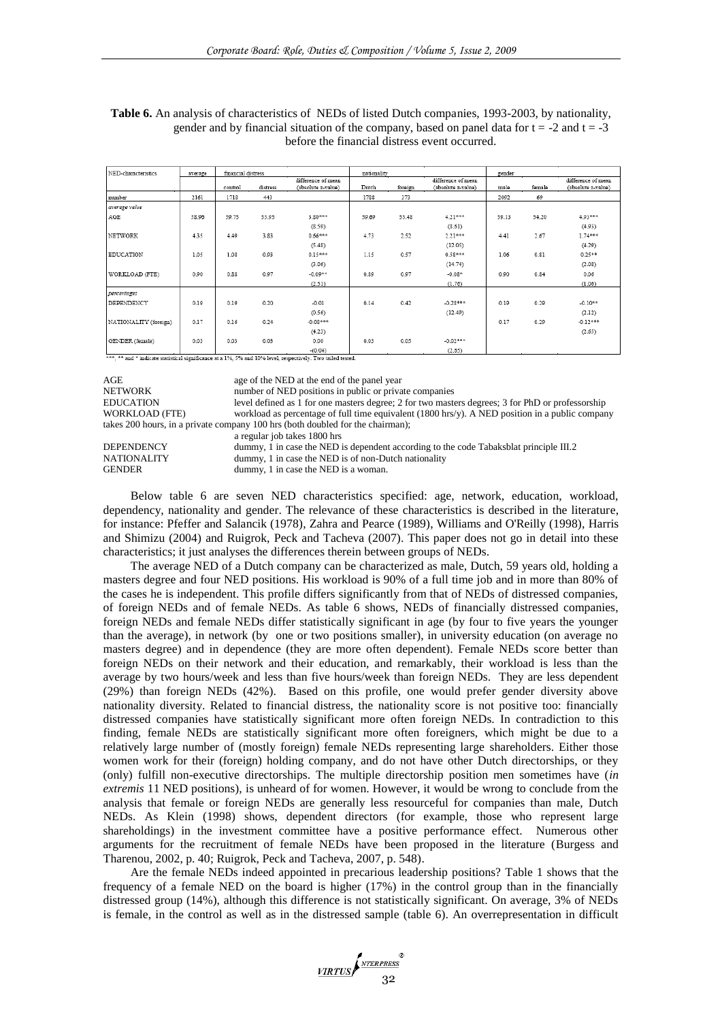| NED-characteristics   | average | financial distress |          |                                          | nationality |         |                                          | gender |        |                                          |
|-----------------------|---------|--------------------|----------|------------------------------------------|-------------|---------|------------------------------------------|--------|--------|------------------------------------------|
|                       |         | control            | distress | difference of mean<br>(absolute z-value) | Dutch       | foreign | difference of mean<br>(absolute z-value) | male   | female | difference of mean<br>(absolute z-value) |
| number                | 2161    | 1718               | 443      |                                          | 1788        | 373     |                                          | 2092   | 69     |                                          |
| average value         |         |                    |          |                                          |             |         |                                          |        |        |                                          |
| AGE                   | 58.96   | 59.75              | 55.95    | $3.80***$                                | 59.69       | 55.48   | $4.21***$                                | 59.13  | 54.20  | 4.93***                                  |
|                       |         |                    |          | (8.59)                                   |             |         | (8.61)                                   |        |        | (4.93)                                   |
| NETWORK               | 4.35    | 4.49               | 3.83     | $0.66***$                                | 4.73        | 2.52    | $2.21***$                                | 4.41   | 2.67   | $1.74***$                                |
|                       |         |                    |          | (5.48)                                   |             |         | (12.05)                                  |        |        | (4.29)                                   |
| <b>EDUCATION</b>      | 1.05    | 1.08               | 0.93     | $0.15***$                                | 1.15        | 0.57    | $0.58***$                                | 1.06   | 0.81   | $0.25**$                                 |
|                       |         |                    |          | (3.06)                                   |             |         | (14.74)                                  |        |        | (2.08)                                   |
| WORKLOAD (FTE)        | 0.90    | 0.88               | 0.97     | $-0.09**$                                | 0.89        | 0.97    | $-0.08*$                                 | 0.90   | 0.84   | 0.06                                     |
|                       |         |                    |          | (2.51)                                   |             |         | (1.76)                                   |        |        | (1.06)                                   |
| percentages           |         |                    |          |                                          |             |         |                                          |        |        |                                          |
| DEPENDENCY            | 0.19    | 0.19               | 0.20     | $-0.01$                                  | 0.14        | 0.42    | $-0.28***$                               | 0.19   | 0.29   | $-0.10**$                                |
|                       |         |                    |          | (0.56)                                   |             |         | (12.49)                                  |        |        | (2.12)                                   |
| NATIONALITY (foreign) | 0.17    | 0.16               | 0.24     | $-0.08***$                               |             |         |                                          | 0.17   | 0.29   | $-0.12***$                               |
|                       |         |                    |          | (4.23)                                   |             |         |                                          |        |        | (2.65)                                   |
| GENDER (female)       | 0.03    | 0.03               | 0.03     | 0.00                                     | 0.03        | 0.05    | $-0.02***$                               |        |        |                                          |
|                       |         |                    |          | $-(0.04)$                                |             |         | (2.65)                                   |        |        |                                          |

| Table 6. An analysis of characteristics of NEDs of listed Dutch companies, 1993-2003, by nationality, |
|-------------------------------------------------------------------------------------------------------|
| gender and by financial situation of the company, based on panel data for $t = -2$ and $t = -3$       |
| before the financial distress event occurred.                                                         |

AGE age of the NED at the end of the panel year<br>NETWORK number of NED positions in public or priva

NETWORK number of NED positions in public or private companies<br>EDUCATION level defined as 1 for one masters degree: 2 for two master

level defined as  $1$  for one masters degree; 2 for two masters degrees; 3 for PhD or professorship WORKLOAD (FTE) workload as percentage of full time equivalent (1800 hrs/y). A NED position in a public company takes 200 hours, in a private company 100 hrs (both doubled for the chairman); a regular job takes 1800 hrs

DEPENDENCY dummy, 1 in case the NED is dependent according to the code Tabaksblat principle III.2<br>NATIONALITY dummy, 1 in case the NED is of non-Dutch nationality NATIONALITY dummy, 1 in case the NED is of non-Dutch nationality<br>GENDER dummy, 1 in case the NED is a woman. dummy, 1 in case the NED is a woman.

Below table 6 are seven NED characteristics specified: age, network, education, workload, dependency, nationality and gender. The relevance of these characteristics is described in the literature, for instance: Pfeffer and Salancik (1978), Zahra and Pearce (1989), Williams and O'Reilly (1998), Harris and Shimizu (2004) and Ruigrok, Peck and Tacheva (2007). This paper does not go in detail into these characteristics; it just analyses the differences therein between groups of NEDs.

The average NED of a Dutch company can be characterized as male, Dutch, 59 years old, holding a masters degree and four NED positions. His workload is 90% of a full time job and in more than 80% of the cases he is independent. This profile differs significantly from that of NEDs of distressed companies, of foreign NEDs and of female NEDs. As table 6 shows, NEDs of financially distressed companies, foreign NEDs and female NEDs differ statistically significant in age (by four to five years the younger than the average), in network (by one or two positions smaller), in university education (on average no masters degree) and in dependence (they are more often dependent). Female NEDs score better than foreign NEDs on their network and their education, and remarkably, their workload is less than the average by two hours/week and less than five hours/week than foreign NEDs. They are less dependent (29%) than foreign NEDs (42%). Based on this profile, one would prefer gender diversity above nationality diversity. Related to financial distress, the nationality score is not positive too: financially distressed companies have statistically significant more often foreign NEDs. In contradiction to this finding, female NEDs are statistically significant more often foreigners, which might be due to a relatively large number of (mostly foreign) female NEDs representing large shareholders. Either those women work for their (foreign) holding company, and do not have other Dutch directorships, or they (only) fulfill non-executive directorships. The multiple directorship position men sometimes have (*in extremis* 11 NED positions), is unheard of for women. However, it would be wrong to conclude from the analysis that female or foreign NEDs are generally less resourceful for companies than male, Dutch NEDs. As Klein (1998) shows, dependent directors (for example, those who represent large shareholdings) in the investment committee have a positive performance effect. Numerous other arguments for the recruitment of female NEDs have been proposed in the literature (Burgess and Tharenou, 2002, p. 40; Ruigrok, Peck and Tacheva, 2007, p. 548).

Are the female NEDs indeed appointed in precarious leadership positions? Table 1 shows that the frequency of a female NED on the board is higher (17%) in the control group than in the financially distressed group (14%), although this difference is not statistically significant. On average, 3% of NEDs is female, in the control as well as in the distressed sample (table 6). An overrepresentation in difficult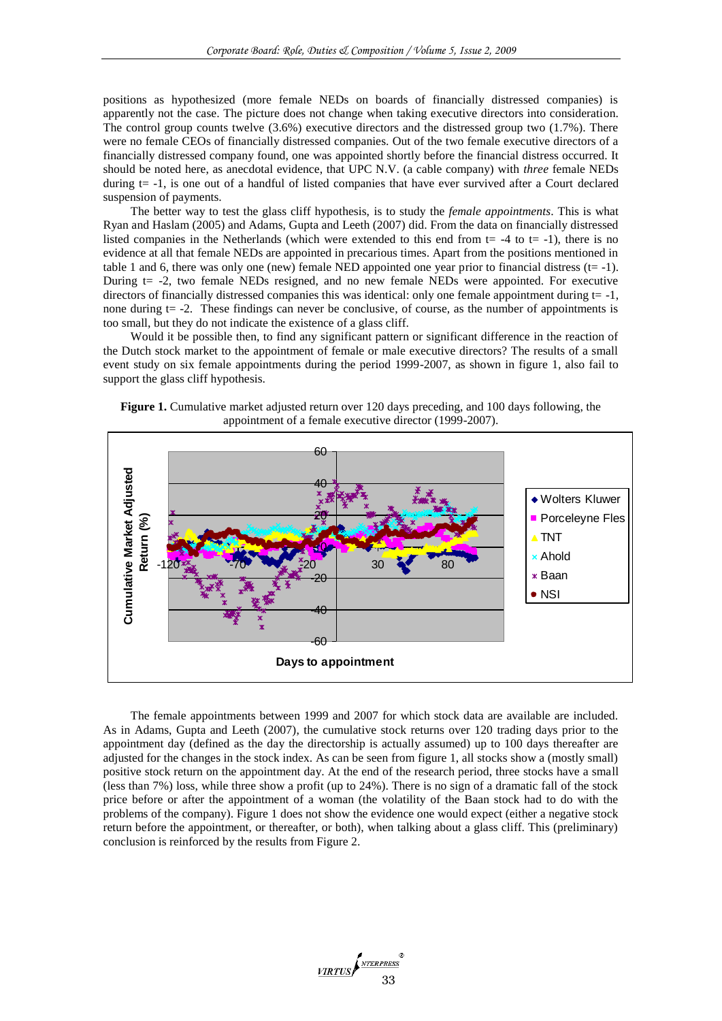positions as hypothesized (more female NEDs on boards of financially distressed companies) is apparently not the case. The picture does not change when taking executive directors into consideration. The control group counts twelve (3.6%) executive directors and the distressed group two (1.7%). There were no female CEOs of financially distressed companies. Out of the two female executive directors of a financially distressed company found, one was appointed shortly before the financial distress occurred. It should be noted here, as anecdotal evidence, that UPC N.V. (a cable company) with *three* female NEDs during t= -1, is one out of a handful of listed companies that have ever survived after a Court declared suspension of payments.

The better way to test the glass cliff hypothesis, is to study the *female appointments*. This is what Ryan and Haslam (2005) and Adams, Gupta and Leeth (2007) did. From the data on financially distressed listed companies in the Netherlands (which were extended to this end from  $t= -4$  to  $t=-1$ ), there is no evidence at all that female NEDs are appointed in precarious times. Apart from the positions mentioned in table 1 and 6, there was only one (new) female NED appointed one year prior to financial distress  $(t= -1)$ . During t= -2, two female NEDs resigned, and no new female NEDs were appointed. For executive directors of financially distressed companies this was identical: only one female appointment during  $t = -1$ , none during t= -2. These findings can never be conclusive, of course, as the number of appointments is too small, but they do not indicate the existence of a glass cliff.

Would it be possible then, to find any significant pattern or significant difference in the reaction of the Dutch stock market to the appointment of female or male executive directors? The results of a small event study on six female appointments during the period 1999-2007, as shown in figure 1, also fail to support the glass cliff hypothesis.





The female appointments between 1999 and 2007 for which stock data are available are included. As in Adams, Gupta and Leeth (2007), the cumulative stock returns over 120 trading days prior to the appointment day (defined as the day the directorship is actually assumed) up to 100 days thereafter are adjusted for the changes in the stock index. As can be seen from figure 1, all stocks show a (mostly small) positive stock return on the appointment day. At the end of the research period, three stocks have a small (less than 7%) loss, while three show a profit (up to 24%). There is no sign of a dramatic fall of the stock price before or after the appointment of a woman (the volatility of the Baan stock had to do with the problems of the company). Figure 1 does not show the evidence one would expect (either a negative stock return before the appointment, or thereafter, or both), when talking about a glass cliff. This (preliminary) conclusion is reinforced by the results from Figure 2.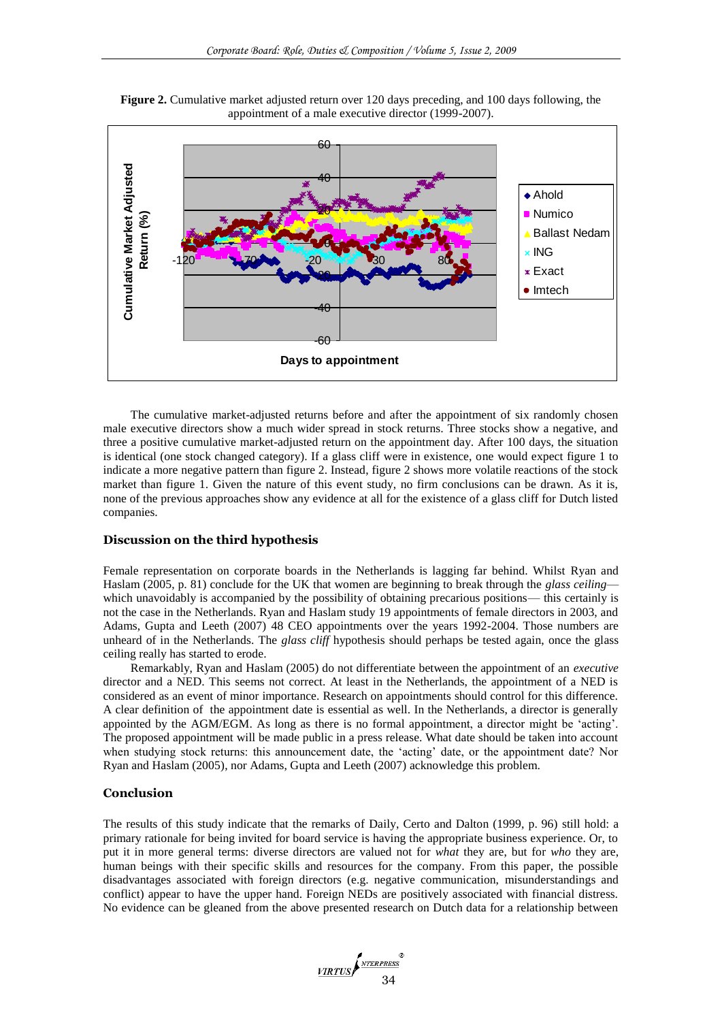

**Figure 2.** Cumulative market adjusted return over 120 days preceding, and 100 days following, the appointment of a male executive director (1999-2007).

The cumulative market-adjusted returns before and after the appointment of six randomly chosen male executive directors show a much wider spread in stock returns. Three stocks show a negative, and three a positive cumulative market-adjusted return on the appointment day. After 100 days, the situation is identical (one stock changed category). If a glass cliff were in existence, one would expect figure 1 to indicate a more negative pattern than figure 2. Instead, figure 2 shows more volatile reactions of the stock market than figure 1. Given the nature of this event study, no firm conclusions can be drawn. As it is, none of the previous approaches show any evidence at all for the existence of a glass cliff for Dutch listed companies.

## **Discussion on the third hypothesis**

Female representation on corporate boards in the Netherlands is lagging far behind. Whilst Ryan and Haslam (2005, p. 81) conclude for the UK that women are beginning to break through the *glass ceiling* which unavoidably is accompanied by the possibility of obtaining precarious positions— this certainly is not the case in the Netherlands. Ryan and Haslam study 19 appointments of female directors in 2003, and Adams, Gupta and Leeth (2007) 48 CEO appointments over the years 1992-2004. Those numbers are unheard of in the Netherlands. The *glass cliff* hypothesis should perhaps be tested again, once the glass ceiling really has started to erode.

Remarkably, Ryan and Haslam (2005) do not differentiate between the appointment of an *executive* director and a NED. This seems not correct. At least in the Netherlands, the appointment of a NED is considered as an event of minor importance. Research on appointments should control for this difference. A clear definition of the appointment date is essential as well. In the Netherlands, a director is generally appointed by the AGM/EGM. As long as there is no formal appointment, a director might be 'acting'. The proposed appointment will be made public in a press release. What date should be taken into account when studying stock returns: this announcement date, the 'acting' date, or the appointment date? Nor Ryan and Haslam (2005), nor Adams, Gupta and Leeth (2007) acknowledge this problem.

# **Conclusion**

The results of this study indicate that the remarks of Daily, Certo and Dalton (1999, p. 96) still hold: a primary rationale for being invited for board service is having the appropriate business experience. Or, to put it in more general terms: diverse directors are valued not for *what* they are, but for *who* they are, human beings with their specific skills and resources for the company. From this paper, the possible disadvantages associated with foreign directors (e.g. negative communication, misunderstandings and conflict) appear to have the upper hand. Foreign NEDs are positively associated with financial distress. No evidence can be gleaned from the above presented research on Dutch data for a relationship between